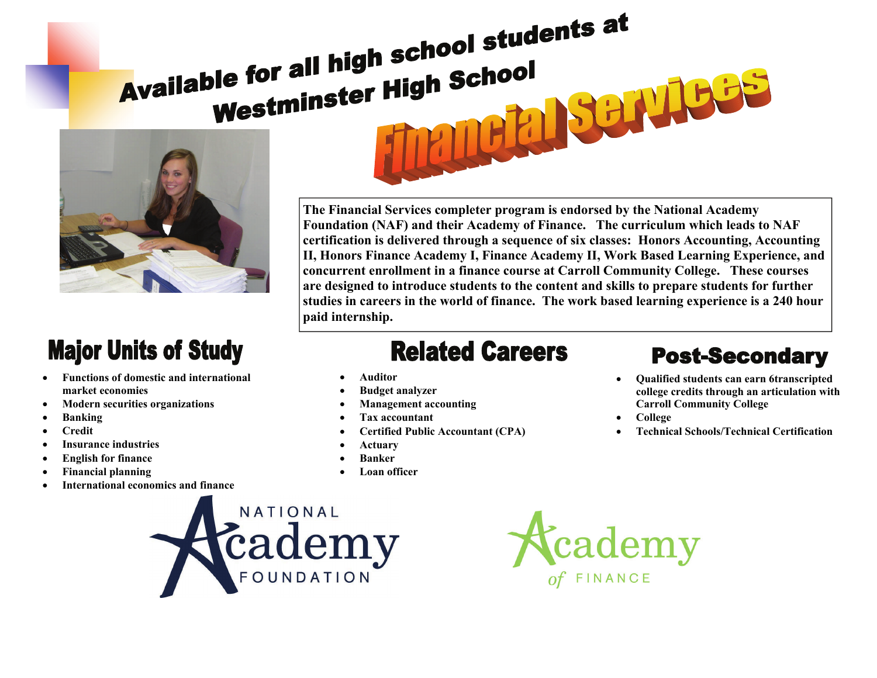# Available for all high school students at **Solution State of the School**<br>Westminster High School School SCHULES



## **Major Units of Study**

- **Functions of domestic and international market economies**
- **Modern securities organizations**
- **Banking**
- **Credit**
- **Insurance industries**
- **English for finance**
- **Financial planning**
- **International economics and finance**

**The Financial Services completer program is endorsed by the National Academy Foundation (NAF) and their Academy of Finance. The curriculum which leads to NAF certification is delivered through a sequence of six classes: Honors Accounting, Accounting II, Honors Finance Academy I, Finance Academy II, Work Based Learning Experience, and concurrent enrollment in a finance course at Carroll Community College. These courses are designed to introduce students to the content and skills to prepare students for further studies in careers in the world of finance. The work based learning experience is a 240 hour paid internship.** 

### **Related Careers**

- **Auditor**
- **Budget analyzer**
- **Management accounting**
- **Tax accountant**
- **Certified Public Accountant (CPA)**
- **Actuary**
- **Banker**
- **Loan officer**

#### **Post-Secondary**

- **Qualified students can earn 6transcripted college credits through an articulation with Carroll Community College**
- **College**
- **Technical Schools/Technical Certification**